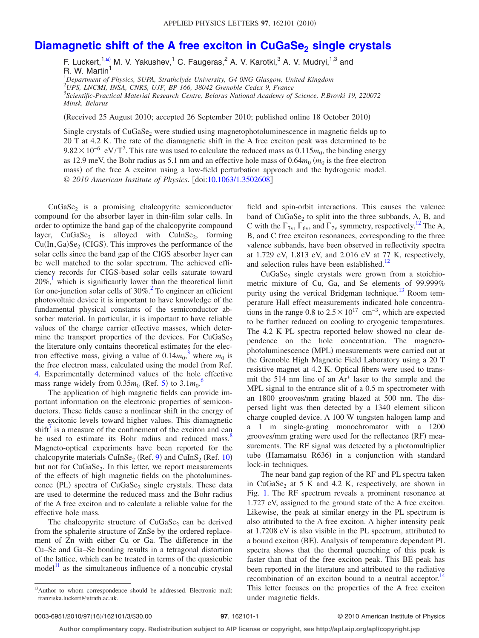## **Diamagnetic shift of the A free exciton in CuGaSe<sub>2</sub> single crystals**

F. Luckert,<sup>1[,a](#page-0-0)</sup>, M. V. Yakushev,<sup>1</sup> C. Faugeras,<sup>2</sup> A. V. Karotki,<sup>3</sup> A. V. Mudryi,<sup>1,3</sup> and R. W. Martin<sup>1</sup>

1 *Department of Physics, SUPA, Strathclyde University, G4 0NG Glasgow, United Kingdom* 2 *UPS, LNCMI, INSA, CNRS, UJF, BP 166, 38042 Grenoble Cedex 9, France*

3 *Scientific-Practical Material Research Centre, Belarus National Academy of Science, P.Brovki 19, 220072 Minsk, Belarus*

(Received 25 August 2010; accepted 26 September 2010; published online 18 October 2010)

Single crystals of  $CuGaSe<sub>2</sub>$  were studied using magnetophotoluminescence in magnetic fields up to 20 T at 4.2 K. The rate of the diamagnetic shift in the A free exciton peak was determined to be  $9.82 \times 10^{-6}$  eV/T<sup>2</sup>. This rate was used to calculate the reduced mass as  $0.115m_0$ , the binding energy as 12.9 meV, the Bohr radius as 5.1 nm and an effective hole mass of  $0.64m_0$  ( $m_0$  is the free electron mass) of the free A exciton using a low-field perturbation approach and the hydrogenic model. © 2010 American Institute of Physics. [doi[:10.1063/1.3502608](http://dx.doi.org/10.1063/1.3502608)]

 $CuGaSe<sub>2</sub>$  is a promising chalcopyrite semiconductor compound for the absorber layer in thin-film solar cells. In order to optimize the band gap of the chalcopyrite compound layer,  $CuGaSe<sub>2</sub>$  is alloyed with  $CuInSe<sub>2</sub>$ , forming  $Cu(In,Ga)Se<sub>2</sub> (CIGS)$ . This improves the performance of the solar cells since the band gap of the CIGS absorber layer can be well matched to the solar spectrum. The achieved efficiency records for CIGS-based solar cells saturate toward  $20\%$ , which is significantly lower than the theoretical limit for one-junction solar cells of  $30\%$ .<sup>2</sup> To engineer an efficient photovoltaic device it is important to have knowledge of the fundamental physical constants of the semiconductor absorber material. In particular, it is important to have reliable values of the charge carrier effective masses, which determine the transport properties of the devices. For  $CuGaSe<sub>2</sub>$ the literature only contains theoretical estimates for the electron effective mass, giving a value of  $0.14m_0^3$  $0.14m_0^3$ , where  $m_0$  is the free electron mass, calculated using the model from Ref. [4.](#page-2-3) Experimentally determined values of the hole effective mass range widely from  $0.35m_0$  $0.35m_0$  $0.35m_0$  (Ref. 5) to  $3.1m_0$ <sup>[6](#page-2-5)</sup>

The application of high magnetic fields can provide important information on the electronic properties of semiconductors. These fields cause a nonlinear shift in the energy of the excitonic levels toward higher values. This diamagnetic  $\text{shift}^{\prime}$  is a measure of the confinement of the exciton and can be used to estimate its Bohr radius and reduced mass.<sup>8</sup> Magneto-optical experiments have been reported for the chalcopyrite materials  $\text{CuInSe}_2$  (Ref. [9](#page-2-8)) and  $\text{CuInS}_2$  (Ref. [10](#page-2-9)) but not for  $CuGaSe<sub>2</sub>$ . In this letter, we report measurements of the effects of high magnetic fields on the photoluminescence (PL) spectra of CuGaSe<sub>2</sub> single crystals. These data are used to determine the reduced mass and the Bohr radius of the A free exciton and to calculate a reliable value for the effective hole mass.

The chalcopyrite structure of  $CuGaSe<sub>2</sub>$  can be derived from the sphalerite structure of ZnSe by the ordered replacement of Zn with either Cu or Ga. The difference in the Cu–Se and Ga–Se bonding results in a tetragonal distortion of the lattice, which can be treated in terms of the quasicubic  $model<sup>11</sup>$  as the simultaneous influence of a noncubic crystal field and spin-orbit interactions. This causes the valence band of  $CuGaSe<sub>2</sub>$  to split into the three subbands, A, B, and C with the  $\Gamma_{7v}$ ,  $\Gamma_{6v}$ , and  $\Gamma_{7v}$  symmetry, respectively.<sup>12</sup> The A, B, and C free exciton resonances, corresponding to the three valence subbands, have been observed in reflectivity spectra at 1.729 eV, 1.813 eV, and 2.016 eV at 77 K, respectively, and selection rules have been established.<sup>12</sup>

 $CuGaSe<sub>2</sub>$  single crystals were grown from a stoichiometric mixture of Cu, Ga, and Se elements of 99.999% purity using the vertical Bridgman technique.<sup>13</sup> Room temperature Hall effect measurements indicated hole concentrations in the range 0.8 to  $2.5 \times 10^{17}$  cm<sup>-3</sup>, which are expected to be further reduced on cooling to cryogenic temperatures. The 4.2 K PL spectra reported below showed no clear dependence on the hole concentration. The magnetophotoluminescence (MPL) measurements were carried out at the Grenoble High Magnetic Field Laboratory using a 20 T resistive magnet at 4.2 K. Optical fibers were used to transmit the 514 nm line of an Ar<sup>+</sup> laser to the sample and the MPL signal to the entrance slit of a 0.5 m spectrometer with an 1800 grooves/mm grating blazed at 500 nm. The dispersed light was then detected by a 1340 element silicon charge coupled device. A 100 W tungsten halogen lamp and a 1 m single-grating monochromator with a 1200 grooves/mm grating were used for the reflectance (RF) measurements. The RF signal was detected by a photomultiplier tube (Hamamatsu R636) in a conjunction with standard lock-in techniques.

The near band gap region of the RF and PL spectra taken in  $CuGaSe<sub>2</sub>$  at 5 K and 4.2 K, respectively, are shown in Fig. [1.](#page-1-0) The RF spectrum reveals a prominent resonance at 1.727 eV, assigned to the ground state of the A free exciton. Likewise, the peak at similar energy in the PL spectrum is also attributed to the A free exciton. A higher intensity peak at 1.7208 eV is also visible in the PL spectrum, attributed to a bound exciton (BE). Analysis of temperature dependent PL spectra shows that the thermal quenching of this peak is faster than that of the free exciton peak. This BE peak has been reported in the literature and attributed to the radiative recombination of an exciton bound to a neutral acceptor.<sup>14</sup> This letter focuses on the properties of the A free exciton under magnetic fields.

<span id="page-0-0"></span>a)Author to whom correspondence should be addressed. Electronic mail: franziska.luckert@strath.ac.uk.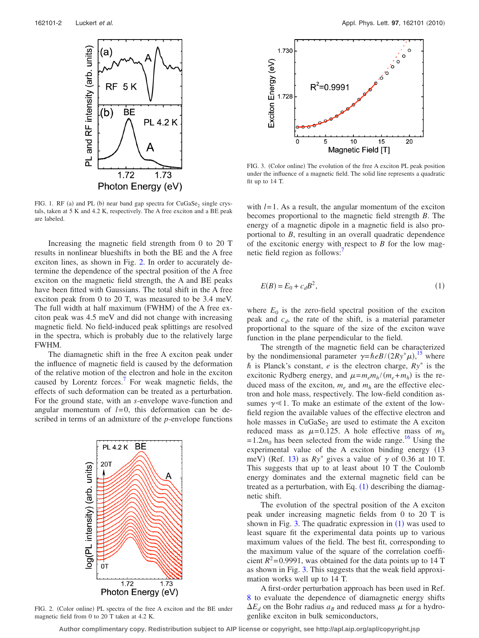<span id="page-1-0"></span>

FIG. 1. RF (a) and PL (b) near band gap spectra for  $CuGaSe<sub>2</sub>$  single crystals, taken at 5 K and 4.2 K, respectively. The A free exciton and a BE peak are labeled.

Increasing the magnetic field strength from 0 to 20 T results in nonlinear blueshifts in both the BE and the A free exciton lines, as shown in Fig. [2.](#page-1-1) In order to accurately determine the dependence of the spectral position of the A free exciton on the magnetic field strength, the A and BE peaks have been fitted with Gaussians. The total shift in the A free exciton peak from 0 to 20 T, was measured to be 3.4 meV. The full width at half maximum (FWHM) of the A free exciton peak was 4.5 meV and did not change with increasing magnetic field. No field-induced peak splittings are resolved in the spectra, which is probably due to the relatively large FWHM.

The diamagnetic shift in the free A exciton peak under the influence of magnetic field is caused by the deformation of the relative motion of the electron and hole in the exciton caused by Lorentz forces. $\frac{7}{1}$  For weak magnetic fields, the effects of such deformation can be treated as a perturbation. For the ground state, with an *s*-envelope wave-function and angular momentum of  $l=0$ , this deformation can be described in terms of an admixture of the *p*-envelope functions

<span id="page-1-1"></span>

FIG. 2. (Color online) PL spectra of the free A exciton and the BE under magnetic field from 0 to 20 T taken at 4.2 K.

<span id="page-1-3"></span>

FIG. 3. (Color online) The evolution of the free A exciton PL peak position under the influence of a magnetic field. The solid line represents a quadratic fit up to 14 T.

with  $l=1$ . As a result, the angular momentum of the exciton becomes proportional to the magnetic field strength *B*. The energy of a magnetic dipole in a magnetic field is also proportional to *B*, resulting in an overall quadratic dependence of the excitonic energy with respect to *B* for the low magnetic field region as follows:

<span id="page-1-2"></span>
$$
E(B) = E_0 + c_d B^2,\tag{1}
$$

where  $E_0$  is the zero-field spectral position of the exciton peak and  $c<sub>d</sub>$ , the rate of the shift, is a material parameter proportional to the square of the size of the exciton wave function in the plane perpendicular to the field.

The strength of the magnetic field can be characterized by the nondimensional parameter  $\gamma = \hbar e B/(2Ry^* \mu)$ ,<sup>[15](#page-2-14)</sup> where  $\hbar$  is Planck's constant, *e* is the electron charge,  $Ry^*$  is the excitonic Rydberg energy, and  $\mu = m_e m_h / (m_e + m_h)$  is the reduced mass of the exciton,  $m_e$  and  $m_h$  are the effective electron and hole mass, respectively. The low-field condition assumes  $\gamma \ll 1$ . To make an estimate of the extent of the lowfield region the available values of the effective electron and hole masses in  $CuGaSe<sub>2</sub>$  are used to estimate the A exciton reduced mass as  $\mu$ =0.125. A hole effective mass of  $m_h$  $= 1.2m_0$  has been selected from the wide range.<sup>16</sup> Using the experimental value of the A exciton binding energy (13 meV) (Ref. [13](#page-2-12)) as  $Ry^*$  gives a value of  $\gamma$  of 0.36 at 10 T. This suggests that up to at least about 10 T the Coulomb energy dominates and the external magnetic field can be treated as a perturbation, with Eq.  $(1)$  $(1)$  $(1)$  describing the diamagnetic shift.

The evolution of the spectral position of the A exciton peak under increasing magnetic fields from 0 to 20 T is shown in Fig. [3.](#page-1-3) The quadratic expression in  $(1)$  $(1)$  $(1)$  was used to least square fit the experimental data points up to various maximum values of the field. The best fit, corresponding to the maximum value of the square of the correlation coefficient  $R^2$ =0.9991, was obtained for the data points up to 14 T as shown in Fig. [3.](#page-1-3) This suggests that the weak field approximation works well up to 14 T.

A first-order perturbation approach has been used in Ref. [8](#page-2-7) to evaluate the dependence of diamagnetic energy shifts  $\Delta E_d$  on the Bohr radius  $a_B$  and reduced mass  $\mu$  for a hydrogenlike exciton in bulk semiconductors,

**Author complimentary copy. Redistribution subject to AIP license or copyright, see http://apl.aip.org/apl/copyright.jsp**